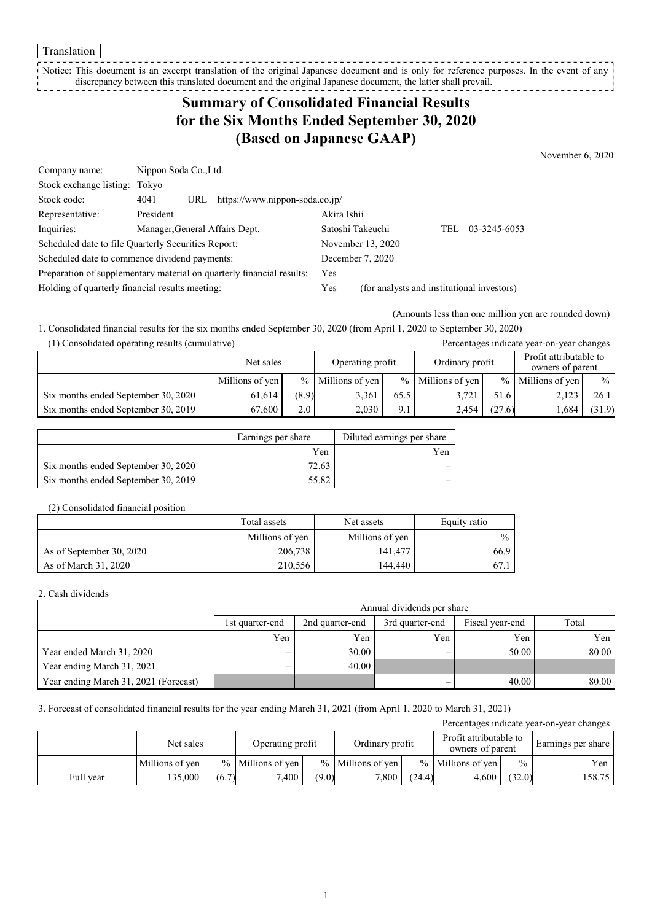Translation

Notice: This document is an excerpt translation of the original Japanese document and is only for reference purposes. In the event of any discrepancy between this translated document and the original Japanese document, the latter shall prevail. 

## **Summary of Consolidated Financial Results for the Six Months Ended September 30, 2020 (Based on Japanese GAAP)**

November 6, 2020

| Company name:                                                         | Nippon Soda Co., Ltd.          |                                    |                                            |                  |     |              |
|-----------------------------------------------------------------------|--------------------------------|------------------------------------|--------------------------------------------|------------------|-----|--------------|
| Stock exchange listing: Tokyo                                         |                                |                                    |                                            |                  |     |              |
| Stock code:                                                           | 4041                           | URL https://www.nippon-soda.co.jp/ |                                            |                  |     |              |
| Representative:                                                       | President                      |                                    | Akira Ishii                                |                  |     |              |
| Inquiries:                                                            | Manager, General Affairs Dept. |                                    |                                            | Satoshi Takeuchi | TEL | 03-3245-6053 |
| Scheduled date to file Quarterly Securities Report:                   |                                | November 13, 2020                  |                                            |                  |     |              |
| Scheduled date to commence dividend payments:                         |                                | December 7, 2020                   |                                            |                  |     |              |
| Preparation of supplementary material on quarterly financial results: |                                |                                    | Yes                                        |                  |     |              |
| Holding of quarterly financial results meeting:                       |                                | Yes                                | (for analysts and institutional investors) |                  |     |              |

(Amounts less than one million yen are rounded down)

1. Consolidated financial results for the six months ended September 30, 2020 (from April 1, 2020 to September 30, 2020) (1) Consolidated operating results (cumulative) Percentages indicate year-on-year changes

| $(1)$ consonance operating results (cumulative) |                 |                  |                     |                 |                     |        | I creeninges mureure year on year emanges  |        |
|-------------------------------------------------|-----------------|------------------|---------------------|-----------------|---------------------|--------|--------------------------------------------|--------|
|                                                 | Net sales       |                  | Operating profit    | Ordinary profit |                     |        | Profit attributable to<br>owners of parent |        |
|                                                 | Millions of yen |                  | $%$ Millions of yen |                 | $%$ Millions of yen |        | $%$ Millions of yen                        | $\%$ 1 |
| Six months ended September 30, 2020             | 61.614          | (8.9)            | 3,361               | 65.5            | 3.721               | 51.6   | 2,123                                      | 26.1   |
| Six months ended September 30, 2019             | 67.600          | 2.0 <sub>1</sub> | 2.030               | 9.1             | 2.454               | (27.6) | 1,684                                      | (31.9) |

|                                     | Earnings per share | Diluted earnings per share |
|-------------------------------------|--------------------|----------------------------|
|                                     | Yen                | Yen                        |
| Six months ended September 30, 2020 | 72.63              |                            |
| Six months ended September 30, 2019 | 55.82              |                            |

#### (2) Consolidated financial position

|                          | Total assets    | Net assets      | Equity ratio  |
|--------------------------|-----------------|-----------------|---------------|
|                          | Millions of yen | Millions of yen | $\frac{0}{0}$ |
| As of September 30, 2020 | 206,738         | 141,477         | 66.9          |
| As of March 31, 2020     | 210.556         | 144,440         | 67.1          |

#### 2. Cash dividends

|                                       | Annual dividends per share |                 |                 |                 |       |  |  |  |
|---------------------------------------|----------------------------|-----------------|-----------------|-----------------|-------|--|--|--|
|                                       | 1st quarter-end            | 2nd quarter-end | 3rd quarter-end | Fiscal year-end | Total |  |  |  |
|                                       | Yen                        | Yen             | Yen             | Yen             | Yen   |  |  |  |
| Year ended March 31, 2020             | $\overline{\phantom{0}}$   | 30.00           |                 | 50.00           | 80.00 |  |  |  |
| Year ending March 31, 2021            | —                          | 40.00           |                 |                 |       |  |  |  |
| Year ending March 31, 2021 (Forecast) |                            |                 | –               | 40.00           | 80.00 |  |  |  |

#### 3. Forecast of consolidated financial results for the year ending March 31, 2021 (from April 1, 2020 to March 31, 2021)

| Percentages indicate year-on-year changes |                 |       |                     |       |                     |        |                                            |               |                    |
|-------------------------------------------|-----------------|-------|---------------------|-------|---------------------|--------|--------------------------------------------|---------------|--------------------|
|                                           | Net sales       |       | Operating profit    |       | Ordinary profit     |        | Profit attributable to<br>owners of parent |               | Earnings per share |
|                                           | Millions of yen |       | $%$ Millions of yen |       | $%$ Millions of yen |        | $%$ Millions of yen                        | $\frac{0}{0}$ | Yen                |
| Full year                                 | 135,000         | (6.7) | 7,400               | (9.0) | 7.800               | (24.4) | 4.600                                      | (32.0)        | 158.75             |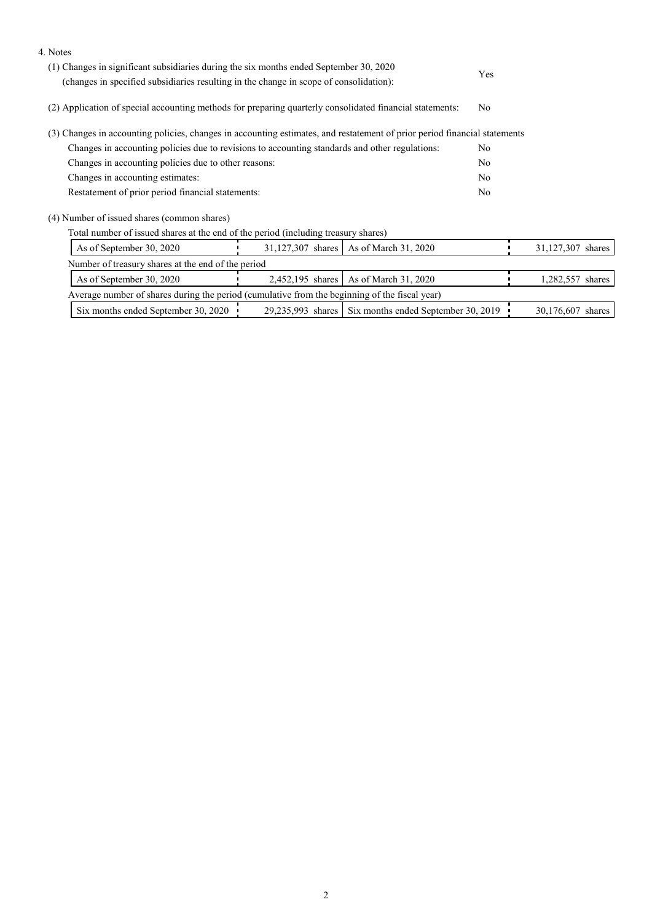| 4. Notes                                                                                                                                                                         |     |                                                         |                |                   |  |
|----------------------------------------------------------------------------------------------------------------------------------------------------------------------------------|-----|---------------------------------------------------------|----------------|-------------------|--|
| (1) Changes in significant subsidiaries during the six months ended September 30, 2020<br>(changes in specified subsidiaries resulting in the change in scope of consolidation): | Yes |                                                         |                |                   |  |
|                                                                                                                                                                                  |     |                                                         |                |                   |  |
| (2) Application of special accounting methods for preparing quarterly consolidated financial statements:                                                                         |     |                                                         | No             |                   |  |
| (3) Changes in accounting policies, changes in accounting estimates, and restatement of prior period financial statements                                                        |     |                                                         |                |                   |  |
| Changes in accounting policies due to revisions to accounting standards and other regulations:                                                                                   |     |                                                         | No             |                   |  |
| Changes in accounting policies due to other reasons:                                                                                                                             |     | No                                                      |                |                   |  |
| Changes in accounting estimates:                                                                                                                                                 |     |                                                         |                |                   |  |
| Restatement of prior period financial statements:                                                                                                                                |     |                                                         | N <sub>o</sub> |                   |  |
| (4) Number of issued shares (common shares)                                                                                                                                      |     |                                                         |                |                   |  |
| Total number of issued shares at the end of the period (including treasury shares)                                                                                               |     |                                                         |                |                   |  |
| As of September 30, 2020                                                                                                                                                         |     | 31,127,307 shares   As of March 31, 2020                |                | 31,127,307 shares |  |
| Number of treasury shares at the end of the period                                                                                                                               |     |                                                         |                |                   |  |
| As of September 30, 2020                                                                                                                                                         |     | 2,452,195 shares   As of March 31, 2020                 |                | 1,282,557 shares  |  |
| Average number of shares during the period (cumulative from the beginning of the fiscal year)                                                                                    |     |                                                         |                |                   |  |
| Six months ended September 30, 2020                                                                                                                                              |     | 29,235,993 shares   Six months ended September 30, 2019 |                | 30,176,607 shares |  |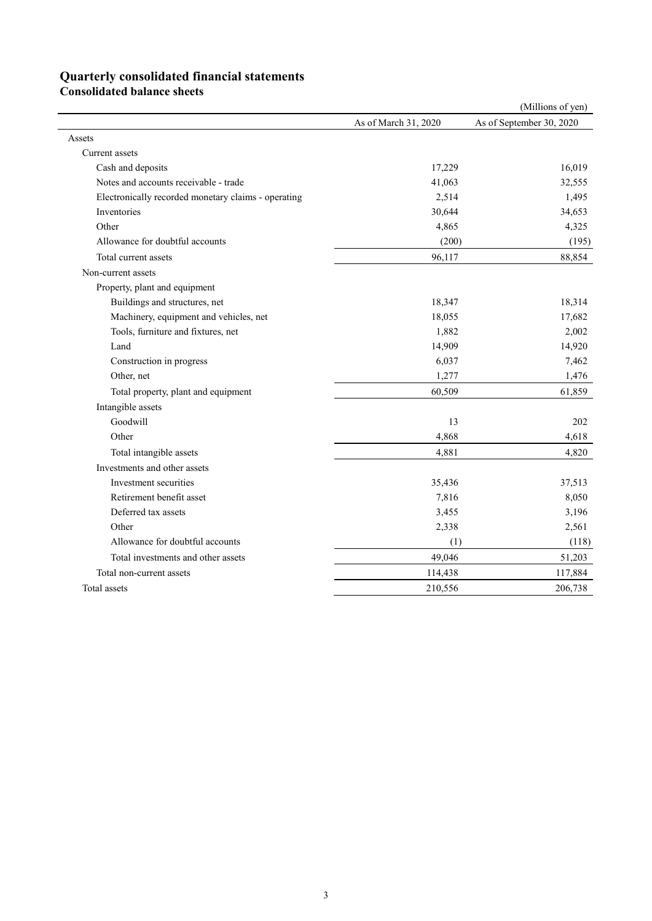# **Quarterly consolidated financial statements**

**Consolidated balance sheets**

|                                                     |                      | (Millions of yen)        |
|-----------------------------------------------------|----------------------|--------------------------|
|                                                     | As of March 31, 2020 | As of September 30, 2020 |
| Assets                                              |                      |                          |
| Current assets                                      |                      |                          |
| Cash and deposits                                   | 17,229               | 16,019                   |
| Notes and accounts receivable - trade               | 41,063               | 32,555                   |
| Electronically recorded monetary claims - operating | 2,514                | 1,495                    |
| Inventories                                         | 30,644               | 34,653                   |
| Other                                               | 4,865                | 4,325                    |
| Allowance for doubtful accounts                     | (200)                | (195)                    |
| Total current assets                                | 96,117               | 88,854                   |
| Non-current assets                                  |                      |                          |
| Property, plant and equipment                       |                      |                          |
| Buildings and structures, net                       | 18,347               | 18,314                   |
| Machinery, equipment and vehicles, net              | 18,055               | 17,682                   |
| Tools, furniture and fixtures, net                  | 1,882                | 2,002                    |
| Land                                                | 14,909               | 14,920                   |
| Construction in progress                            | 6,037                | 7,462                    |
| Other, net                                          | 1,277                | 1,476                    |
| Total property, plant and equipment                 | 60,509               | 61,859                   |
| Intangible assets                                   |                      |                          |
| Goodwill                                            | 13                   | 202                      |
| Other                                               | 4,868                | 4,618                    |
| Total intangible assets                             | 4,881                | 4,820                    |
| Investments and other assets                        |                      |                          |
| Investment securities                               | 35,436               | 37,513                   |
| Retirement benefit asset                            | 7,816                | 8,050                    |
| Deferred tax assets                                 | 3,455                | 3,196                    |
| Other                                               | 2,338                | 2,561                    |
| Allowance for doubtful accounts                     | (1)                  | (118)                    |
| Total investments and other assets                  | 49,046               | 51,203                   |
| Total non-current assets                            | 114,438              | 117,884                  |
| Total assets                                        | 210,556              | 206,738                  |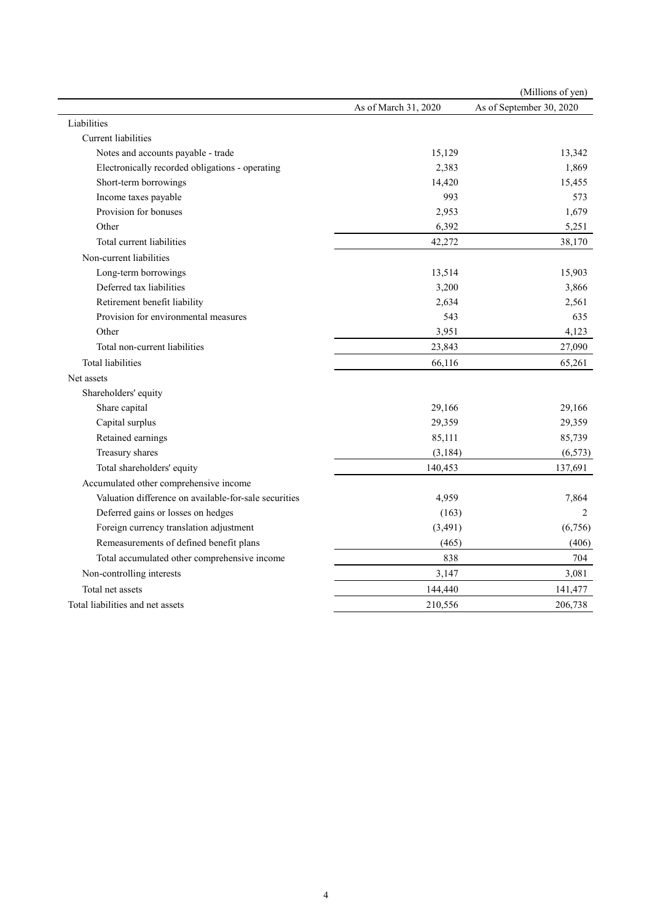|                                                       |                      | (Millions of yen)        |
|-------------------------------------------------------|----------------------|--------------------------|
|                                                       | As of March 31, 2020 | As of September 30, 2020 |
| Liabilities                                           |                      |                          |
| Current liabilities                                   |                      |                          |
| Notes and accounts payable - trade                    | 15,129               | 13,342                   |
| Electronically recorded obligations - operating       | 2,383                | 1,869                    |
| Short-term borrowings                                 | 14,420               | 15,455                   |
| Income taxes payable                                  | 993                  | 573                      |
| Provision for bonuses                                 | 2,953                | 1,679                    |
| Other                                                 | 6,392                | 5,251                    |
| Total current liabilities                             | 42,272               | 38,170                   |
| Non-current liabilities                               |                      |                          |
| Long-term borrowings                                  | 13,514               | 15,903                   |
| Deferred tax liabilities                              | 3,200                | 3,866                    |
| Retirement benefit liability                          | 2,634                | 2,561                    |
| Provision for environmental measures                  | 543                  | 635                      |
| Other                                                 | 3,951                | 4,123                    |
| Total non-current liabilities                         | 23,843               | 27,090                   |
| Total liabilities                                     | 66,116               | 65,261                   |
| Net assets                                            |                      |                          |
| Shareholders' equity                                  |                      |                          |
| Share capital                                         | 29,166               | 29,166                   |
| Capital surplus                                       | 29,359               | 29,359                   |
| Retained earnings                                     | 85,111               | 85,739                   |
| Treasury shares                                       | (3, 184)             | (6, 573)                 |
| Total shareholders' equity                            | 140,453              | 137,691                  |
| Accumulated other comprehensive income                |                      |                          |
| Valuation difference on available-for-sale securities | 4,959                | 7,864                    |
| Deferred gains or losses on hedges                    | (163)                | 2                        |
| Foreign currency translation adjustment               | (3, 491)             | (6,756)                  |
| Remeasurements of defined benefit plans               | (465)                | (406)                    |
| Total accumulated other comprehensive income          | 838                  | 704                      |
| Non-controlling interests                             | 3,147                | 3,081                    |
| Total net assets                                      | 144,440              | 141,477                  |
| Total liabilities and net assets                      | 210,556              | 206,738                  |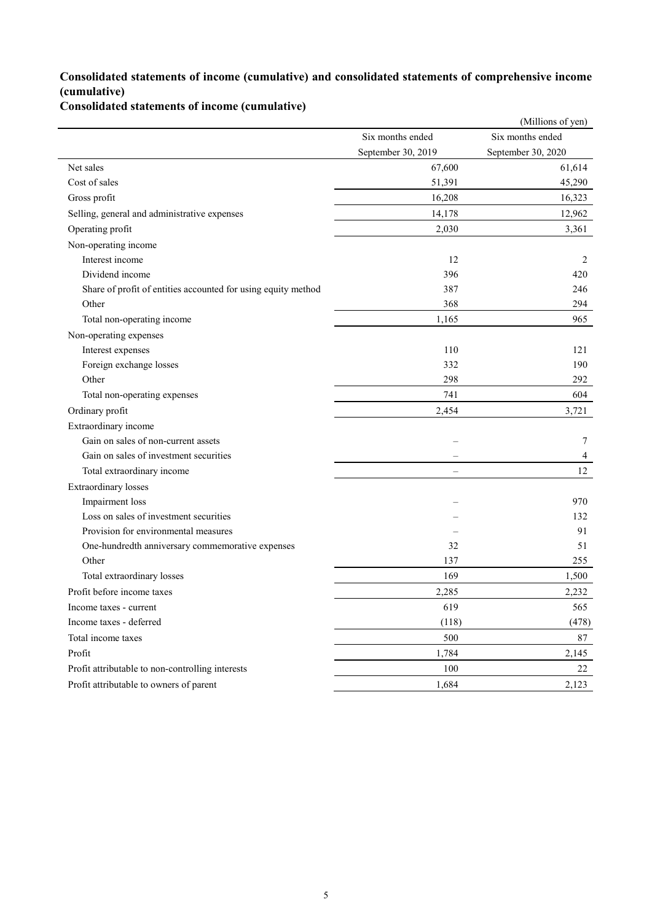### **Consolidated statements of income (cumulative) and consolidated statements of comprehensive income (cumulative)**

**Consolidated statements of income (cumulative)**

|                                                               |                    | (Millions of yen)  |
|---------------------------------------------------------------|--------------------|--------------------|
|                                                               | Six months ended   | Six months ended   |
|                                                               | September 30, 2019 | September 30, 2020 |
| Net sales                                                     | 67,600             | 61,614             |
| Cost of sales                                                 | 51,391             | 45,290             |
| Gross profit                                                  | 16,208             | 16,323             |
| Selling, general and administrative expenses                  | 14,178             | 12,962             |
| Operating profit                                              | 2,030              | 3,361              |
| Non-operating income                                          |                    |                    |
| Interest income                                               | 12                 | 2                  |
| Dividend income                                               | 396                | 420                |
| Share of profit of entities accounted for using equity method | 387                | 246                |
| Other                                                         | 368                | 294                |
| Total non-operating income                                    | 1,165              | 965                |
| Non-operating expenses                                        |                    |                    |
| Interest expenses                                             | 110                | 121                |
| Foreign exchange losses                                       | 332                | 190                |
| Other                                                         | 298                | 292                |
| Total non-operating expenses                                  | 741                | 604                |
| Ordinary profit                                               | 2,454              | 3,721              |
| Extraordinary income                                          |                    |                    |
| Gain on sales of non-current assets                           |                    | 7                  |
| Gain on sales of investment securities                        |                    | 4                  |
| Total extraordinary income                                    |                    | 12                 |
| Extraordinary losses                                          |                    |                    |
| Impairment loss                                               |                    | 970                |
| Loss on sales of investment securities                        |                    | 132                |
| Provision for environmental measures                          |                    | 91                 |
| One-hundredth anniversary commemorative expenses              | 32                 | 51                 |
| Other                                                         | 137                | 255                |
| Total extraordinary losses                                    | 169                | 1,500              |
| Profit before income taxes                                    | 2,285              | 2,232              |
| Income taxes - current                                        | 619                | 565                |
| Income taxes - deferred                                       | (118)              | (478)              |
| Total income taxes                                            | 500                | 87                 |
| Profit                                                        | 1,784              | 2,145              |
| Profit attributable to non-controlling interests              | 100                | 22                 |
| Profit attributable to owners of parent                       | 1,684              | 2,123              |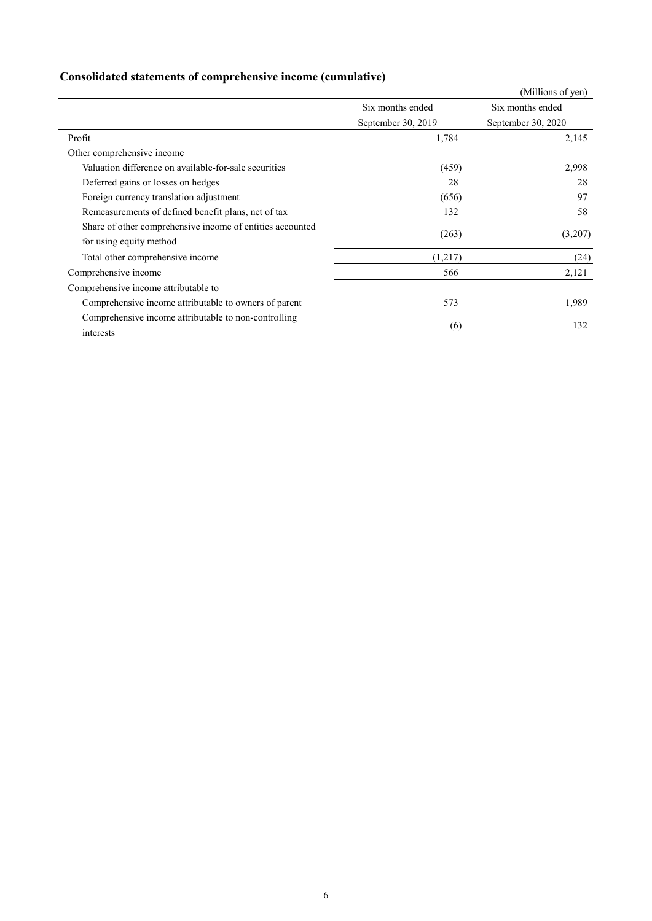| Consolidated statements of comprehensive income (cumulative) |  |  |
|--------------------------------------------------------------|--|--|
|                                                              |  |  |

|                                                           |                    | (Millions of yen)  |
|-----------------------------------------------------------|--------------------|--------------------|
|                                                           | Six months ended   | Six months ended   |
|                                                           | September 30, 2019 | September 30, 2020 |
| Profit                                                    | 1,784              | 2,145              |
| Other comprehensive income                                |                    |                    |
| Valuation difference on available-for-sale securities     | (459)              | 2,998              |
| Deferred gains or losses on hedges                        | 28                 | 28                 |
| Foreign currency translation adjustment                   | (656)              | 97                 |
| Remeasurements of defined benefit plans, net of tax       | 132                | 58                 |
| Share of other comprehensive income of entities accounted |                    |                    |
| for using equity method                                   | (263)              | (3,207)            |
| Total other comprehensive income                          | (1,217)            | (24)               |
| Comprehensive income                                      | 566                | 2,121              |
| Comprehensive income attributable to                      |                    |                    |
| Comprehensive income attributable to owners of parent     | 573                | 1,989              |
| Comprehensive income attributable to non-controlling      |                    |                    |
| interests                                                 | (6)                | 132                |